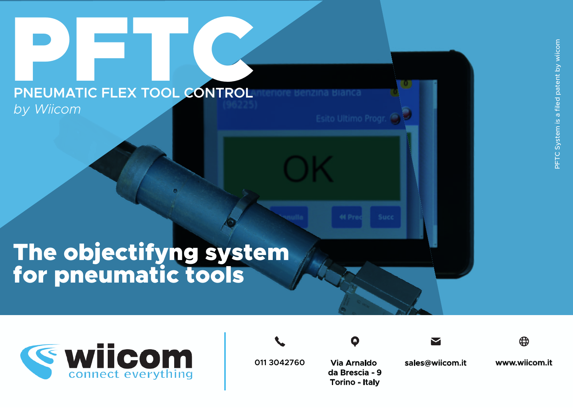## The objectifyng system for pneumatic tools

PNEUMATIC FLEX TOOL CONTROL

 *by Wiicom*





**www.wiicom.it**





Esito Ultimo Progr.





**Via Arnaldo da Brescia - 9 Torino - Italy**

**011 3042760 sales@wiicom.it www.wiicom.it**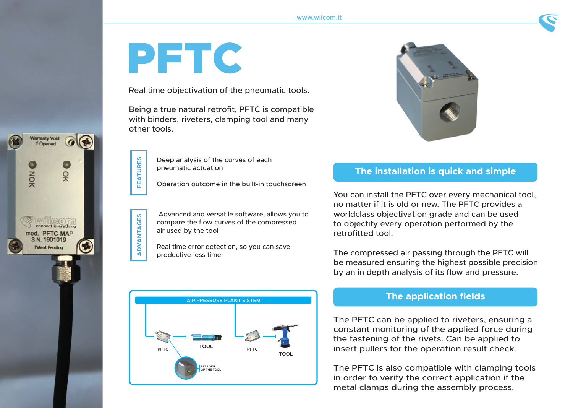# PFTC

**FEATURES**

**FEATURES** 

**Varranty Void** If Opened

읒

PFTC-MAP 1901019

NOK

**ADVANTAGES**

ADVANTAGES

Real time objectivation of the pneumatic tools.

Being a true natural retrofit, PFTC is compatible with binders, riveters, clamping tool and many other tools.

> Deep analysis of the curves of each pneumatic actuation

Operation outcome in the built-in touchscreen

 Advanced and versatile software, allows you to compare the flow curves of the compressed air used by the tool

Real time error detection, so you can save productive-less time





#### **The installation is quick and simple**

You can install the PFTC over every mechanical tool, no matter if it is old or new. The PFTC provides a worldclass objectivation grade and can be used to objectify every operation performed by the retrofitted tool.

The compressed air passing through the PFTC will be measured ensuring the highest possible precision by an in depth analysis of its flow and pressure.

#### **The application fields**

The PFTC can be applied to riveters, ensuring a constant monitoring of the applied force during the fastening of the rivets. Can be applied to insert pullers for the operation result check.

The PFTC is also compatible with clamping tools in order to verify the correct application if the metal clamps during the assembly process.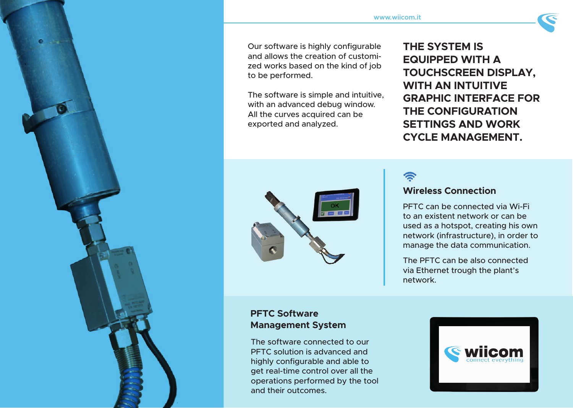Our software is highly configurable and allows the creation of customized works based on the kind of job to be performed.

The software is simple and intuitive, with an advanced debug window. All the curves acquired can be exported and analyzed.

**THE SYSTEM IS EQUIPPED WITH A TOUCHSCREEN DISPLAY, WITH AN INTUITIVE GRAPHIC INTERFACE FOR THE CONFIGURATION SETTINGS AND WORK CYCLE MANAGEMENT.** 



**る** 

#### **Wireless Connection**

PFTC can be connected via Wi-Fi to an existent network or can be used as a hotspot, creating his own network (infrastructure), in order to manage the data communication.

The PFTC can be also connected via Ethernet trough the plant's network.



The software connected to our PFTC solution is advanced and highly configurable and able to get real-time control over all the operations performed by the tool and their outcomes.

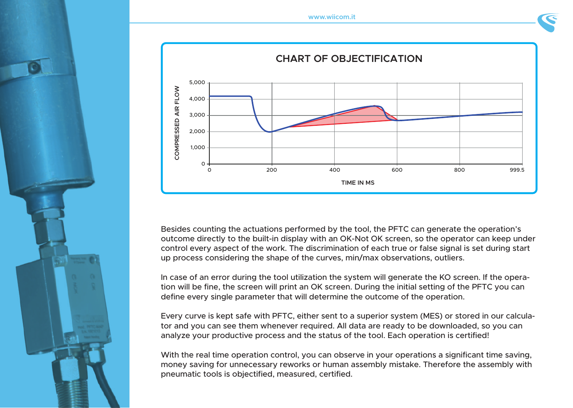



Besides counting the actuations performed by the tool, the PFTC can generate the operation's outcome directly to the built-in display with an OK-Not OK screen, so the operator can keep under control every aspect of the work. The discrimination of each true or false signal is set during start up process considering the shape of the curves, min/max observations, outliers.

In case of an error during the tool utilization the system will generate the KO screen. If the operation will be fine, the screen will print an OK screen. During the initial setting of the PFTC you can define every single parameter that will determine the outcome of the operation.

Every curve is kept safe with PFTC, either sent to a superior system (MES) or stored in our calculator and you can see them whenever required. All data are ready to be downloaded, so you can analyze your productive process and the status of the tool. Each operation is certified!

With the real time operation control, you can observe in your operations a significant time saving, money saving for unnecessary reworks or human assembly mistake. Therefore the assembly with pneumatic tools is objectified, measured, certified.